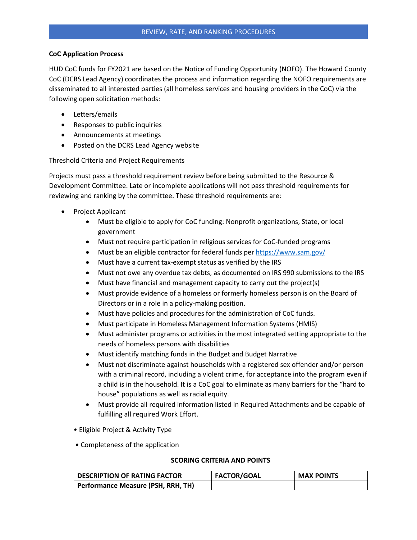## **CoC Application Process**

HUD CoC funds for FY2021 are based on the Notice of Funding Opportunity (NOFO). The Howard County CoC (DCRS Lead Agency) coordinates the process and information regarding the NOFO requirements are disseminated to all interested parties (all homeless services and housing providers in the CoC) via the following open solicitation methods:

- Letters/emails
- Responses to public inquiries
- Announcements at meetings
- Posted on the DCRS Lead Agency website

Threshold Criteria and Project Requirements

Projects must pass a threshold requirement review before being submitted to the Resource & Development Committee. Late or incomplete applications will not pass threshold requirements for reviewing and ranking by the committee. These threshold requirements are:

- Project Applicant
	- Must be eligible to apply for CoC funding: Nonprofit organizations, State, or local government
	- Must not require participation in religious services for CoC-funded programs
	- Must be an eligible contractor for federal funds pe[r https://www.sam.gov/](https://www.sam.gov/)
	- Must have a current tax-exempt status as verified by the IRS
	- Must not owe any overdue tax debts, as documented on IRS 990 submissions to the IRS
	- Must have financial and management capacity to carry out the project(s)
	- Must provide evidence of a homeless or formerly homeless person is on the Board of Directors or in a role in a policy-making position.
	- Must have policies and procedures for the administration of CoC funds.
	- Must participate in Homeless Management Information Systems (HMIS)
	- Must administer programs or activities in the most integrated setting appropriate to the needs of homeless persons with disabilities
	- Must identify matching funds in the Budget and Budget Narrative
	- Must not discriminate against households with a registered sex offender and/or person with a criminal record, including a violent crime, for acceptance into the program even if a child is in the household. It is a CoC goal to eliminate as many barriers for the "hard to house" populations as well as racial equity.
	- Must provide all required information listed in Required Attachments and be capable of fulfilling all required Work Effort.
	- Eligible Project & Activity Type
	- Completeness of the application

## **SCORING CRITERIA AND POINTS**

| <b>DESCRIPTION OF RATING FACTOR</b> | <b>FACTOR/GOAL</b> | <b>MAX POINTS</b> |
|-------------------------------------|--------------------|-------------------|
| Performance Measure (PSH, RRH, TH)  |                    |                   |